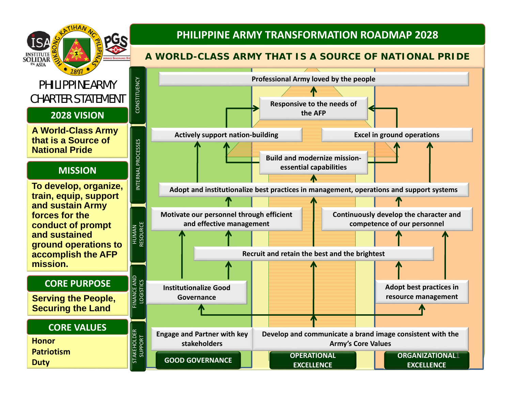

**GOOD GOVERNANCE**

**Duty**

## **PHILIPPINE ARMY TRANSFORMATION ROADMAP 2028**

## **A WORLD-CLASS ARMY THAT IS A SOURCE OF NATIONAL PRIDE**



**EXCELLENCE**

**EXCELLENCE**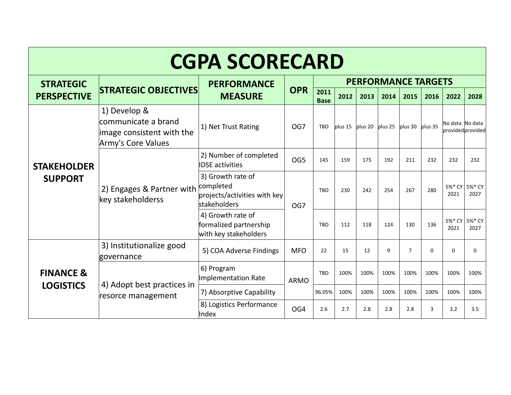| <b>CGPA SCORECARD</b>                    |                                                                                        |                                                                                       |                 |                            |      |                           |      |                     |          |                 |                       |  |
|------------------------------------------|----------------------------------------------------------------------------------------|---------------------------------------------------------------------------------------|-----------------|----------------------------|------|---------------------------|------|---------------------|----------|-----------------|-----------------------|--|
| <b>STRATEGIC</b>                         |                                                                                        | <b>PERFORMANCE</b><br><b>MEASURE</b>                                                  | <b>OPR</b>      | <b>PERFORMANCE TARGETS</b> |      |                           |      |                     |          |                 |                       |  |
| <b>PERSPECTIVE</b>                       | <b>STRATEGIC OBJECTIVES</b>                                                            |                                                                                       |                 | 2011<br><b>Base</b>        | 2012 | 2013                      | 2014 | 2015                | 2016     | 2022            | 2028                  |  |
| <b>STAKEHOLDER</b><br><b>SUPPORT</b>     | 1) Develop &<br>communicate a brand<br>image consistent with the<br>Army's Core Values | 1) Net Trust Rating                                                                   | OG7             | <b>TBD</b>                 |      | $plus 15$ plus 20 plus 25 |      | $plus 30$ $plus 35$ |          | No data No data | provided provided     |  |
|                                          | 2) Engages & Partner with<br>key stakeholderss                                         | 2) Number of completed<br><b>IDSE</b> activities                                      | OG5             | 145                        | 159  | 175                       | 192  | 211                 | 232      | 232             | 232                   |  |
|                                          |                                                                                        | 3) Growth rate of<br>completed<br>projects/activities with key<br><b>stakeholders</b> | OG7             | <b>TBD</b>                 | 230  | 242                       | 254  | 267                 | 280      | 2021            | 5%* CY 5%* CY<br>2027 |  |
|                                          |                                                                                        | 4) Growth rate of<br>formalized partnership<br>with key stakeholders                  |                 | <b>TBD</b>                 | 112  | 118                       | 124  | 130                 | 136      | 2021            | 5%* CY 5%* CY<br>2027 |  |
| <b>FINANCE &amp;</b><br><b>LOGISTICS</b> | 3) Institutionalize good<br>governance                                                 | 5) COA Adverse Findings                                                               | <b>MFO</b>      | 22                         | 15   | 12                        | 9    | $\overline{7}$      | $\Omega$ | $\Omega$        | 0                     |  |
|                                          | 4) Adopt best practices in<br>resorce management                                       | 6) Program<br>Implementation Rate                                                     | <b>ARMO</b>     | <b>TBD</b>                 | 100% | 100%                      | 100% | 100%                | 100%     | 100%            | 100%                  |  |
|                                          |                                                                                        | 7) Absorptive Capability                                                              |                 | 96.05%                     | 100% | 100%                      | 100% | 100%                | 100%     | 100%            | 100%                  |  |
|                                          |                                                                                        | 8) Logistics Performance<br>Index                                                     | OG <sub>4</sub> | 2.6                        | 2.7  | 2.8                       | 2.8  | 2.8                 | 3        | 3.2             | 3.5                   |  |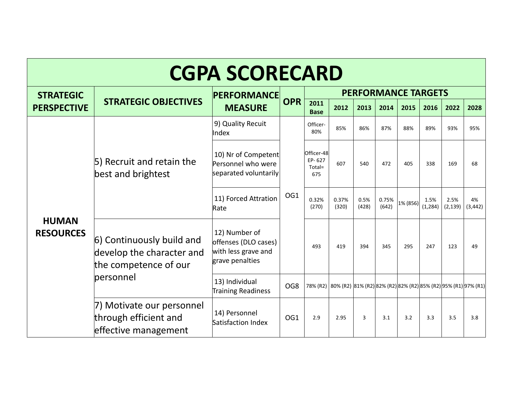| <b>CGPA SCORECARD</b>            |                                                                                 |                                                                                 |                            |                                                                         |                |               |                |          |                  |                  |                |
|----------------------------------|---------------------------------------------------------------------------------|---------------------------------------------------------------------------------|----------------------------|-------------------------------------------------------------------------|----------------|---------------|----------------|----------|------------------|------------------|----------------|
| <b>STRATEGIC</b>                 |                                                                                 | <b>PERFORMANCE</b><br><b>OPR</b><br><b>MEASURE</b>                              | <b>PERFORMANCE TARGETS</b> |                                                                         |                |               |                |          |                  |                  |                |
| <b>PERSPECTIVE</b>               | <b>STRATEGIC OBJECTIVES</b>                                                     |                                                                                 |                            | 2011<br><b>Base</b>                                                     | 2012           | 2013          | 2014           | 2015     | 2016             | 2022             | 2028           |
| <b>HUMAN</b><br><b>RESOURCES</b> | 5) Recruit and retain the<br>best and brightest                                 | 9) Quality Recuit<br>Index                                                      |                            | Officer-<br>80%                                                         | 85%            | 86%           | 87%            | 88%      | 89%              | 93%              | 95%            |
|                                  |                                                                                 | 10) Nr of Competent<br>Personnel who were<br>separated voluntarily              |                            | Officer-48<br>EP-627<br>Total=<br>675                                   | 607            | 540           | 472            | 405      | 338              | 169              | 68             |
|                                  |                                                                                 | 11) Forced Attration<br>Rate                                                    | OG1                        | 0.32%<br>(270)                                                          | 0.37%<br>(320) | 0.5%<br>(428) | 0.75%<br>(642) | 1% (856) | 1.5%<br>(1, 284) | 2.5%<br>(2, 139) | 4%<br>(3, 442) |
|                                  | 6) Continuously build and<br>develop the character and<br>the competence of our | 12) Number of<br>offenses (DLO cases)<br>with less grave and<br>grave penalties |                            | 493                                                                     | 419            | 394           | 345            | 295      | 247              | 123              | 49             |
|                                  | personnel                                                                       | 13) Individual<br>Training Readiness                                            | OG8                        | 78% (R2) 80% (R2) 81% (R2) 82% (R2) 82% (R2) 85% (R2) 95% (R1) 97% (R1) |                |               |                |          |                  |                  |                |
|                                  | 7) Motivate our personnel<br>through efficient and<br>effective management      | 14) Personnel<br>Satisfaction Index                                             | OG <sub>1</sub>            | 2.9                                                                     | 2.95           | 3             | 3.1            | 3.2      | 3.3              | 3.5              | 3.8            |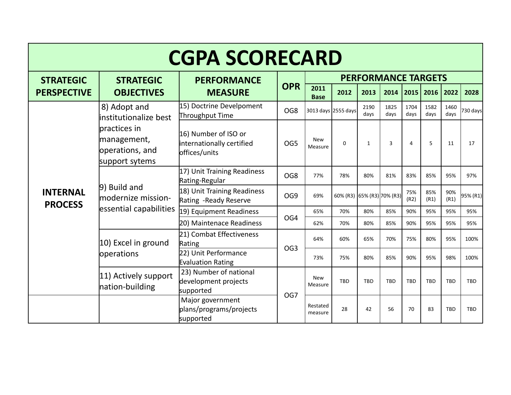| <b>CGPA SCORECARD</b>             |                                                                                                            |                                                                    |                               |                       |                            |              |              |              |              |              |            |  |  |
|-----------------------------------|------------------------------------------------------------------------------------------------------------|--------------------------------------------------------------------|-------------------------------|-----------------------|----------------------------|--------------|--------------|--------------|--------------|--------------|------------|--|--|
| <b>STRATEGIC</b>                  | <b>STRATEGIC</b>                                                                                           | <b>PERFORMANCE</b>                                                 |                               |                       | <b>PERFORMANCE TARGETS</b> |              |              |              |              |              |            |  |  |
| <b>PERSPECTIVE</b>                | <b>OBJECTIVES</b>                                                                                          | <b>MEASURE</b>                                                     | <b>OPR</b>                    | 2011<br><b>Base</b>   | 2012                       | 2013         | 2014         | 2015         | 2016         | 2022         | 2028       |  |  |
|                                   | 8) Adopt and<br>linstitutionalize best<br>practices in<br>management,<br>operations, and<br>support sytems | 15) Doctrine Develpoment<br>Throughput Time                        | OG <sub>8</sub>               |                       | 3013 days 2555 days        | 2190<br>days | 1825<br>days | 1704<br>days | 1582<br>days | 1460<br>days | 730 days   |  |  |
|                                   |                                                                                                            | 16) Number of ISO or<br>internationally certified<br>offices/units | OG5                           | <b>New</b><br>Measure | $\mathbf 0$                | 1            | 3            | 4            | 5            | 11           | 17         |  |  |
|                                   | 9) Build and<br>modernize mission-<br>essential capabilities                                               | 17) Unit Training Readiness<br>Rating-Regular                      | OG <sub>8</sub>               | 77%                   | 78%                        | 80%          | 81%          | 83%          | 85%          | 95%          | 97%        |  |  |
| <b>INTERNAL</b><br><b>PROCESS</b> |                                                                                                            | 18) Unit Training Readiness<br>Rating -Ready Reserve               | OG9                           | 69%                   | 60% (R3) 65% (R3) 70% (R3) |              |              | 75%<br>(R2)  | 85%<br>(R1)  | 90%<br>(R1)  | 95% (R1)   |  |  |
|                                   |                                                                                                            | 19) Equipment Readiness                                            | OG4                           | 65%                   | 70%                        | 80%          | 85%          | 90%          | 95%          | 95%          | 95%        |  |  |
|                                   |                                                                                                            | 20) Maintenace Readiness                                           |                               | 62%                   | 70%                        | 80%          | 85%          | 90%          | 95%          | 95%          | 95%        |  |  |
|                                   | 10) Excel in ground                                                                                        | 21) Combat Effectiveness<br>Rating                                 | 64%<br>OG <sub>3</sub><br>73% |                       | 60%                        | 65%          | 70%          | 75%          | 80%          | 95%          | 100%       |  |  |
|                                   | operations                                                                                                 | 22) Unit Performance<br><b>Evaluation Rating</b>                   |                               |                       | 75%                        | 80%          | 85%          | 90%          | 95%          | 98%          | 100%       |  |  |
|                                   | 11) Actively support<br>nation-building                                                                    | 23) Number of national<br>development projects<br>supported        |                               | <b>New</b><br>Measure | TBD                        | <b>TBD</b>   | <b>TBD</b>   | <b>TBD</b>   | <b>TBD</b>   | <b>TBD</b>   | <b>TBD</b> |  |  |
|                                   |                                                                                                            | Major government<br>plans/programs/projects<br>supported           | OG7                           | Restated<br>measure   | 28                         | 42           | 56           | 70           | 83           | <b>TBD</b>   | <b>TBD</b> |  |  |